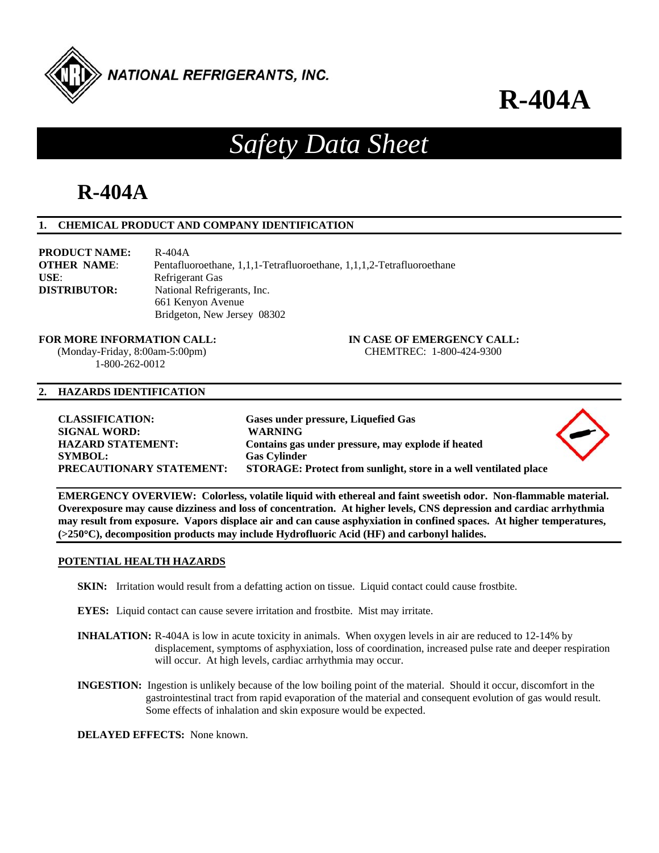

## *Safety Data Sheet*

## **R-404A**

## **1. CHEMICAL PRODUCT AND COMPANY IDENTIFICATION**

| <b>PRODUCT NAME:</b> | R-404A                                                                |
|----------------------|-----------------------------------------------------------------------|
| <b>OTHER NAME:</b>   | Pentafluoroethane, 1,1,1-Tetrafluoroethane, 1,1,1,2-Tetrafluoroethane |
| USE:                 | Refrigerant Gas                                                       |
| <b>DISTRIBUTOR:</b>  | National Refrigerants, Inc.                                           |
|                      | 661 Kenyon Avenue                                                     |
|                      | Bridgeton, New Jersey 08302                                           |

 (Monday-Friday, 8:00am-5:00pm) CHEMTREC: 1-800-424-9300 1-800-262-0012

**FOR MORE INFORMATION CALL: IN CASE OF EMERGENCY CALL:** 

## **2. HAZARDS IDENTIFICATION**

| <b>CLASSIFICATION:</b>          | Gases under pressure, Liquefied Gas                              |  |
|---------------------------------|------------------------------------------------------------------|--|
| <b>SIGNAL WORD:</b>             | <b>WARNING</b>                                                   |  |
| <b>HAZARD STATEMENT:</b>        | Contains gas under pressure, may explode if heated               |  |
| <b>SYMBOL:</b>                  | <b>Gas Cylinder</b>                                              |  |
| <b>PRECAUTIONARY STATEMENT:</b> | STORAGE: Protect from sunlight, store in a well ventilated place |  |

**EMERGENCY OVERVIEW: Colorless, volatile liquid with ethereal and faint sweetish odor. Non-flammable material. Overexposure may cause dizziness and loss of concentration. At higher levels, CNS depression and cardiac arrhythmia may result from exposure. Vapors displace air and can cause asphyxiation in confined spaces. At higher temperatures, (>250C), decomposition products may include Hydrofluoric Acid (HF) and carbonyl halides.** 

## **POTENTIAL HEALTH HAZARDS**

- **SKIN:** Irritation would result from a defatting action on tissue. Liquid contact could cause frostbite.
- **EYES:** Liquid contact can cause severe irritation and frostbite. Mist may irritate.
- **INHALATION:** R-404A is low in acute toxicity in animals. When oxygen levels in air are reduced to 12-14% by displacement, symptoms of asphyxiation, loss of coordination, increased pulse rate and deeper respiration will occur. At high levels, cardiac arrhythmia may occur.
- **INGESTION:** Ingestion is unlikely because of the low boiling point of the material. Should it occur, discomfort in the gastrointestinal tract from rapid evaporation of the material and consequent evolution of gas would result. Some effects of inhalation and skin exposure would be expected.

**DELAYED EFFECTS:** None known.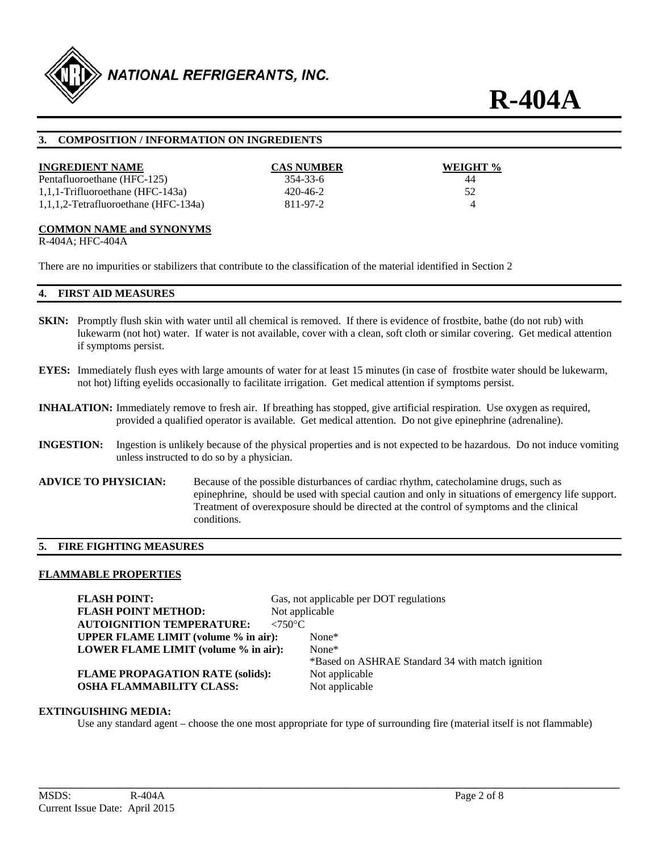

## **3. COMPOSITION / INFORMATION ON INGREDIENTS**

| <b>INGREDIENT NAME</b>               | <b>CAS NUMBER</b> | WEIGHT % |
|--------------------------------------|-------------------|----------|
| Pentafluoroethane (HFC-125)          | 354-33-6          | 44       |
| $1,1,1$ -Trifluoroethane (HFC-143a)  | 420-46-2          | 52       |
| 1,1,1,2-Tetrafluoroethane (HFC-134a) | 811-97-2          |          |

## **COMMON NAME and SYNONYMS**

R-404A; HFC-404A

There are no impurities or stabilizers that contribute to the classification of the material identified in Section 2

## **4. FIRST AID MEASURES**

- **SKIN:** Promptly flush skin with water until all chemical is removed. If there is evidence of frostbite, bathe (do not rub) with lukewarm (not hot) water. If water is not available, cover with a clean, soft cloth or similar covering. Get medical attention if symptoms persist.
- **EYES:** Immediately flush eyes with large amounts of water for at least 15 minutes (in case of frostbite water should be lukewarm, not hot) lifting eyelids occasionally to facilitate irrigation. Get medical attention if symptoms persist.
- **INHALATION:** Immediately remove to fresh air. If breathing has stopped, give artificial respiration. Use oxygen as required, provided a qualified operator is available. Get medical attention. Do not give epinephrine (adrenaline).
- **INGESTION:** Ingestion is unlikely because of the physical properties and is not expected to be hazardous. Do not induce vomiting unless instructed to do so by a physician.
- **ADVICE TO PHYSICIAN:** Because of the possible disturbances of cardiac rhythm, catecholamine drugs, such as epinephrine, should be used with special caution and only in situations of emergency life support. Treatment of overexposure should be directed at the control of symptoms and the clinical conditions.

## **5. FIRE FIGHTING MEASURES**

#### **FLAMMABLE PROPERTIES**

**FLASH POINT:** Gas, not applicable per DOT regulations **FLASH POINT METHOD:** Not applicable **AUTOIGNITION TEMPERATURE: <750°C UPPER FLAME LIMIT (volume % in air):** None\* **LOWER FLAME LIMIT (volume % in air):** None\* \*Based on ASHRAE Standard 34 with match ignition **FLAME PROPAGATION RATE (solids):** Not applicable **OSHA FLAMMABILITY CLASS:** Not applicable

## **EXTINGUISHING MEDIA:**

Use any standard agent – choose the one most appropriate for type of surrounding fire (material itself is not flammable)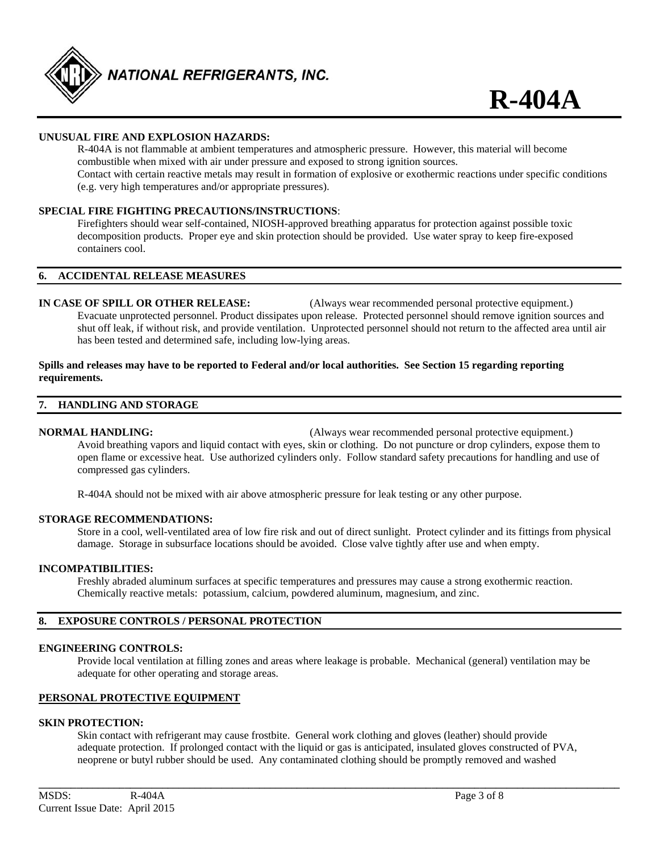

## **UNUSUAL FIRE AND EXPLOSION HAZARDS:**

 R-404A is not flammable at ambient temperatures and atmospheric pressure. However, this material will become combustible when mixed with air under pressure and exposed to strong ignition sources. Contact with certain reactive metals may result in formation of explosive or exothermic reactions under specific conditions (e.g. very high temperatures and/or appropriate pressures).

## **SPECIAL FIRE FIGHTING PRECAUTIONS/INSTRUCTIONS**:

 Firefighters should wear self-contained, NIOSH-approved breathing apparatus for protection against possible toxic decomposition products. Proper eye and skin protection should be provided. Use water spray to keep fire-exposed containers cool.

#### **6. ACCIDENTAL RELEASE MEASURES**

**IN CASE OF SPILL OR OTHER RELEASE:** (Always wear recommended personal protective equipment.) Evacuate unprotected personnel. Product dissipates upon release. Protected personnel should remove ignition sources and shut off leak, if without risk, and provide ventilation. Unprotected personnel should not return to the affected area until air has been tested and determined safe, including low-lying areas.

### **Spills and releases may have to be reported to Federal and/or local authorities. See Section 15 regarding reporting requirements.**

### **7. HANDLING AND STORAGE**

**NORMAL HANDLING:** (Always wear recommended personal protective equipment.) Avoid breathing vapors and liquid contact with eyes, skin or clothing. Do not puncture or drop cylinders, expose them to open flame or excessive heat. Use authorized cylinders only. Follow standard safety precautions for handling and use of compressed gas cylinders.

R-404A should not be mixed with air above atmospheric pressure for leak testing or any other purpose.

#### **STORAGE RECOMMENDATIONS:**

 Store in a cool, well-ventilated area of low fire risk and out of direct sunlight. Protect cylinder and its fittings from physical damage. Storage in subsurface locations should be avoided. Close valve tightly after use and when empty.

### **INCOMPATIBILITIES:**

Freshly abraded aluminum surfaces at specific temperatures and pressures may cause a strong exothermic reaction. Chemically reactive metals: potassium, calcium, powdered aluminum, magnesium, and zinc.

## **8. EXPOSURE CONTROLS / PERSONAL PROTECTION**

#### **ENGINEERING CONTROLS:**

 Provide local ventilation at filling zones and areas where leakage is probable. Mechanical (general) ventilation may be adequate for other operating and storage areas.

## **PERSONAL PROTECTIVE EQUIPMENT**

## **SKIN PROTECTION:**

 Skin contact with refrigerant may cause frostbite. General work clothing and gloves (leather) should provide adequate protection. If prolonged contact with the liquid or gas is anticipated, insulated gloves constructed of PVA, neoprene or butyl rubber should be used. Any contaminated clothing should be promptly removed and washed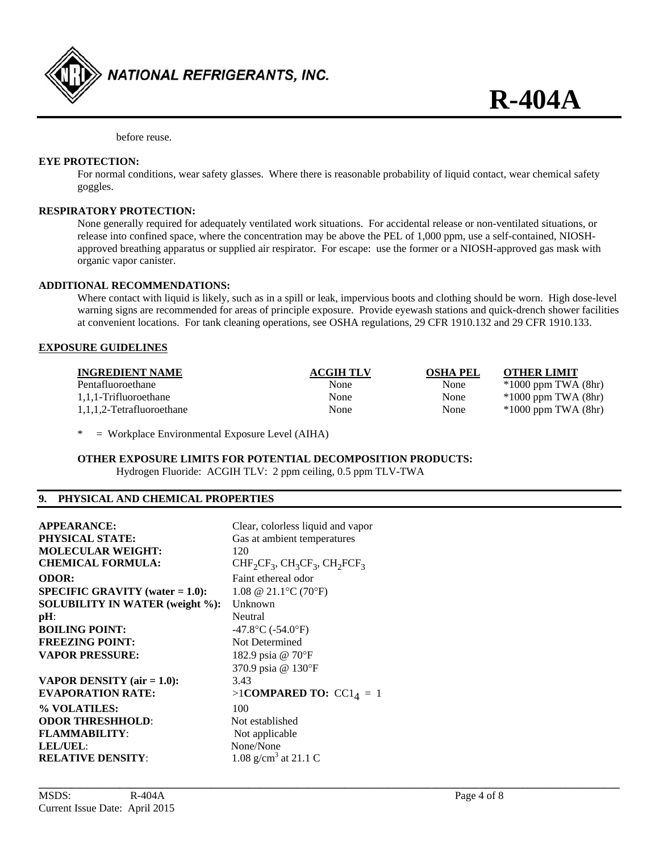

before reuse.

## **EYE PROTECTION:**

 For normal conditions, wear safety glasses. Where there is reasonable probability of liquid contact, wear chemical safety goggles.

## **RESPIRATORY PROTECTION:**

 None generally required for adequately ventilated work situations. For accidental release or non-ventilated situations, or release into confined space, where the concentration may be above the PEL of 1,000 ppm, use a self-contained, NIOSH approved breathing apparatus or supplied air respirator. For escape: use the former or a NIOSH-approved gas mask with organic vapor canister.

## **ADDITIONAL RECOMMENDATIONS:**

 Where contact with liquid is likely, such as in a spill or leak, impervious boots and clothing should be worn. High dose-level warning signs are recommended for areas of principle exposure. Provide eyewash stations and quick-drench shower facilities at convenient locations. For tank cleaning operations, see OSHA regulations, 29 CFR 1910.132 and 29 CFR 1910.133.

#### **EXPOSURE GUIDELINES**

| <b>INGREDIENT NAME</b>    | <b>ACGIH TLV</b> | <b>OSHA PEL</b> | <b>OTHER LIMIT</b>      |
|---------------------------|------------------|-----------------|-------------------------|
| Pentafluoroethane         | None             | None            | $*1000$ ppm TWA $(8hr)$ |
| 1,1,1-Trifluoroethane     | None             | None            | $*1000$ ppm TWA $(8hr)$ |
| 1,1,1,2-Tetrafluoroethane | None             | None            | $*1000$ ppm TWA $(8hr)$ |

**\_\_\_\_\_\_\_\_\_\_\_\_\_\_\_\_\_\_\_\_\_\_\_\_\_\_\_\_\_\_\_\_\_\_\_\_\_\_\_\_\_\_\_\_\_\_\_\_\_\_\_\_\_\_\_\_\_\_\_\_\_\_\_\_\_\_\_\_\_\_\_\_\_\_\_\_\_\_\_\_\_\_\_\_\_\_\_\_\_\_\_\_\_\_\_\_\_\_\_\_\_\_\_\_\_\_\_\_** 

\* = Workplace Environmental Exposure Level (AIHA)

## **OTHER EXPOSURE LIMITS FOR POTENTIAL DECOMPOSITION PRODUCTS:**

Hydrogen Fluoride: ACGIH TLV: 2 ppm ceiling, 0.5 ppm TLV-TWA

## **9. PHYSICAL AND CHEMICAL PROPERTIES**

| <b>APPEARANCE:</b>                        | Clear, colorless liquid and vapor      |
|-------------------------------------------|----------------------------------------|
| <b>PHYSICAL STATE:</b>                    | Gas at ambient temperatures            |
| <b>MOLECULAR WEIGHT:</b>                  | 120                                    |
| <b>CHEMICAL FORMULA:</b>                  | $CHF_2CF_3$ , $CH_3CF_3$ , $CH_2FCF_3$ |
| <b>ODOR:</b>                              | Faint ethereal odor                    |
| <b>SPECIFIC GRAVITY</b> (water $= 1.0$ ): | 1.08 @ 21.1 °C (70 °F)                 |
| <b>SOLUBILITY IN WATER (weight %):</b>    | Unknown                                |
| $pH$ :                                    | Neutral                                |
| <b>BOILING POINT:</b>                     | $-47.8$ °C ( $-54.0$ °F)               |
| <b>FREEZING POINT:</b>                    | Not Determined                         |
| <b>VAPOR PRESSURE:</b>                    | 182.9 psia @ 70°F                      |
|                                           | 370.9 psia @ 130°F                     |
| VAPOR DENSITY (air $= 1.0$ ):             | 3.43                                   |
| <b>EVAPORATION RATE:</b>                  | >1COMPARED TO: $CC14 = 1$              |
| % VOLATILES:                              | 100                                    |
| <b>ODOR THRESHHOLD:</b>                   | Not established                        |
| <b>FLAMMABILITY:</b>                      | Not applicable                         |
| LEL/UEL:                                  | None/None                              |
| <b>RELATIVE DENSITY:</b>                  | 1.08 g/cm <sup>3</sup> at 21.1 C       |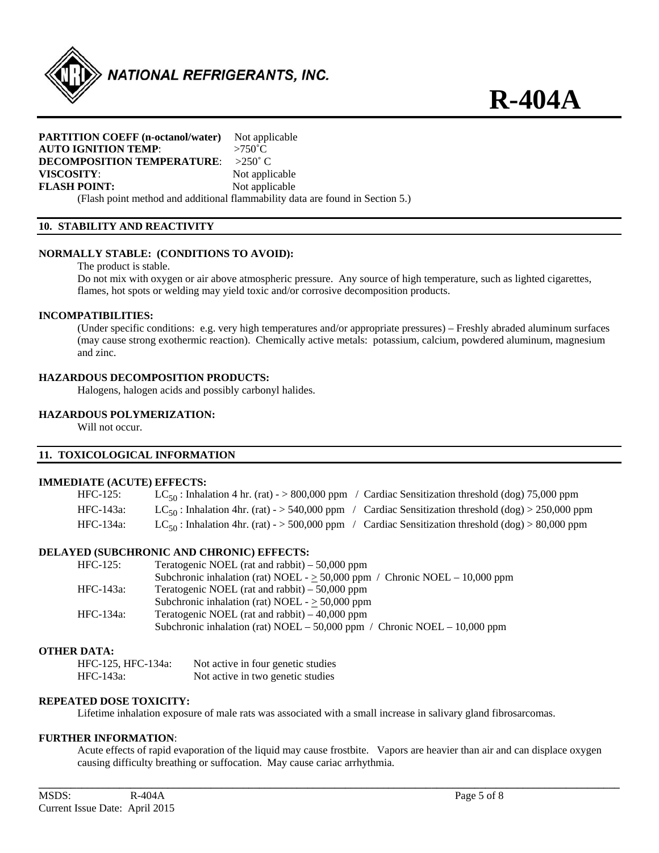

## **PARTITION COEFF (n-octanol/water)** Not applicable **AUTO IGNITION TEMP**: >750˚C **DECOMPOSITION TEMPERATURE**: >250˚ C **VISCOSITY:** Not applicable **FLASH POINT:** Not applicable

(Flash point method and additional flammability data are found in Section 5.)

## **10. STABILITY AND REACTIVITY**

## **NORMALLY STABLE: (CONDITIONS TO AVOID):**

The product is stable.

 Do not mix with oxygen or air above atmospheric pressure. Any source of high temperature, such as lighted cigarettes, flames, hot spots or welding may yield toxic and/or corrosive decomposition products.

#### **INCOMPATIBILITIES:**

 (Under specific conditions: e.g. very high temperatures and/or appropriate pressures) – Freshly abraded aluminum surfaces (may cause strong exothermic reaction). Chemically active metals: potassium, calcium, powdered aluminum, magnesium and zinc.

## **HAZARDOUS DECOMPOSITION PRODUCTS:**

Halogens, halogen acids and possibly carbonyl halides.

## **HAZARDOUS POLYMERIZATION:**

Will not occur.

## **11. TOXICOLOGICAL INFORMATION**

#### **IMMEDIATE (ACUTE) EFFECTS:**

| HFC-125:  | $LC_{50}$ : Inhalation 4 hr. (rat) - > 800,000 ppm / Cardiac Sensitization threshold (dog) 75,000 ppm   |
|-----------|---------------------------------------------------------------------------------------------------------|
| HFC-143a: | $LC_{50}$ : Inhalation 4hr. (rat) - > 540,000 ppm / Cardiac Sensitization threshold (dog) > 250,000 ppm |
| HFC-134a: | $LC_{50}$ : Inhalation 4hr. (rat) - > 500,000 ppm / Cardiac Sensitization threshold (dog) > 80,000 ppm  |

## **DELAYED (SUBCHRONIC AND CHRONIC) EFFECTS:**

| $HFC-125$ : | Teratogenic NOEL (rat and rabbit) $-50,000$ ppm                                  |
|-------------|----------------------------------------------------------------------------------|
|             | Subchronic inhalation (rat) NOEL - $\geq$ 50,000 ppm / Chronic NOEL - 10,000 ppm |
| HFC-143a:   | Teratogenic NOEL (rat and rabbit) $-50,000$ ppm                                  |
|             | Subchronic inhalation (rat) NOEL - $\geq$ 50,000 ppm                             |
| HFC-134a:   | Teratogenic NOEL (rat and rabbit) $-40,000$ ppm                                  |
|             | Subchronic inhalation (rat) NOEL – 50,000 ppm / Chronic NOEL – 10,000 ppm        |
|             |                                                                                  |

### **OTHER DATA:**

| HFC-125, HFC-134a: | Not active in four genetic studies |
|--------------------|------------------------------------|
| HFC-143a:          | Not active in two genetic studies  |

## **REPEATED DOSE TOXICITY:**

Lifetime inhalation exposure of male rats was associated with a small increase in salivary gland fibrosarcomas.

## **FURTHER INFORMATION**:

 Acute effects of rapid evaporation of the liquid may cause frostbite. Vapors are heavier than air and can displace oxygen causing difficulty breathing or suffocation. May cause cariac arrhythmia.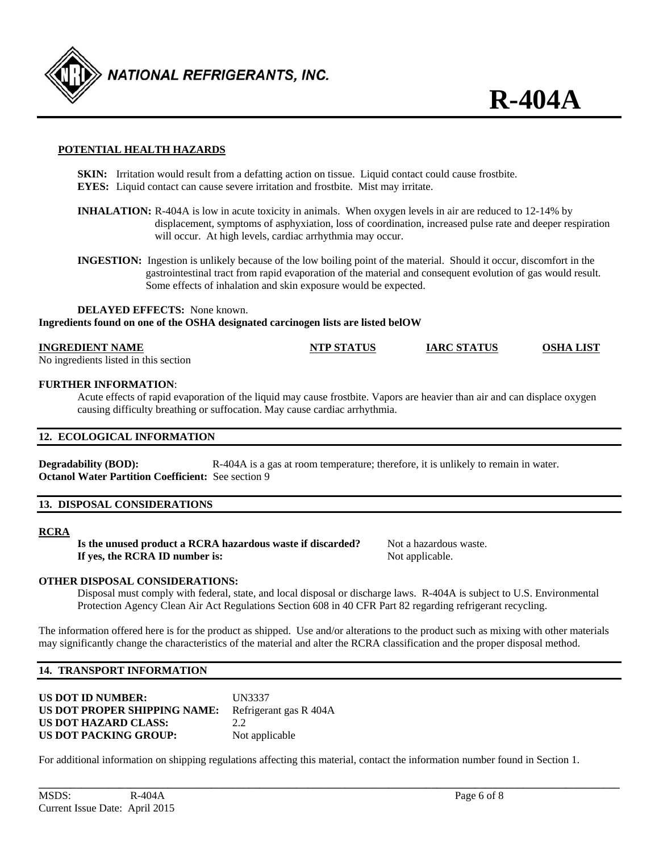

## **POTENTIAL HEALTH HAZARDS**

**SKIN:** Irritation would result from a defatting action on tissue. Liquid contact could cause frostbite. **EYES:** Liquid contact can cause severe irritation and frostbite. Mist may irritate.

- **INHALATION:** R-404A is low in acute toxicity in animals. When oxygen levels in air are reduced to 12-14% by displacement, symptoms of asphyxiation, loss of coordination, increased pulse rate and deeper respiration will occur. At high levels, cardiac arrhythmia may occur.
- **INGESTION:** Ingestion is unlikely because of the low boiling point of the material. Should it occur, discomfort in the gastrointestinal tract from rapid evaporation of the material and consequent evolution of gas would result. Some effects of inhalation and skin exposure would be expected.

**DELAYED EFFECTS:** None known. **Ingredients found on one of the OSHA designated carcinogen lists are listed belOW** 

| <b>INGREDIENT NAME</b>                | <b>NTP STATUS</b> | <b>IARC STATUS</b> | <b>OSHA LIST</b> |
|---------------------------------------|-------------------|--------------------|------------------|
| No ingredients listed in this section |                   |                    |                  |

#### **FURTHER INFORMATION**:

Acute effects of rapid evaporation of the liquid may cause frostbite. Vapors are heavier than air and can displace oxygen causing difficulty breathing or suffocation. May cause cardiac arrhythmia.

## **12. ECOLOGICAL INFORMATION**

**Degradability (BOD):** R-404A is a gas at room temperature; therefore, it is unlikely to remain in water. **Octanol Water Partition Coefficient:** See section 9

### **13. DISPOSAL CONSIDERATIONS**

## **RCRA**

**Is the unused product a RCRA hazardous waste if discarded?** Not a hazardous waste. **If yes, the RCRA ID number is:** Not applicable.

## **OTHER DISPOSAL CONSIDERATIONS:**

 Disposal must comply with federal, state, and local disposal or discharge laws. R-404A is subject to U.S. Environmental Protection Agency Clean Air Act Regulations Section 608 in 40 CFR Part 82 regarding refrigerant recycling.

The information offered here is for the product as shipped. Use and/or alterations to the product such as mixing with other materials may significantly change the characteristics of the material and alter the RCRA classification and the proper disposal method.

#### **14. TRANSPORT INFORMATION**

| <b>US DOT ID NUMBER:</b>     | <b>UN3337</b>          |
|------------------------------|------------------------|
| US DOT PROPER SHIPPING NAME: | Refrigerant gas R 404A |
| <b>US DOT HAZARD CLASS:</b>  | 22                     |
| US DOT PACKING GROUP:        | Not applicable         |

For additional information on shipping regulations affecting this material, contact the information number found in Section 1.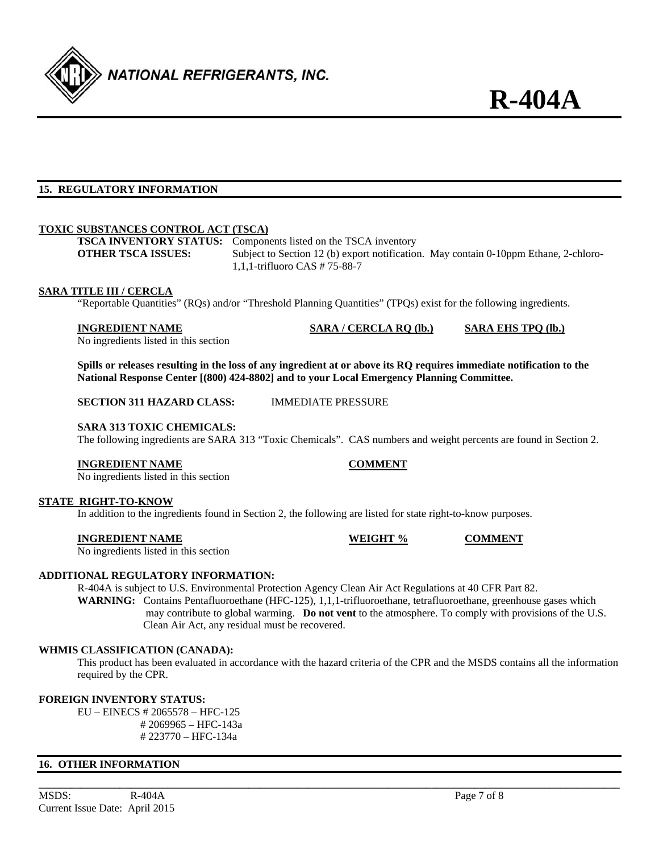

## **15. REGULATORY INFORMATION**

## **TOXIC SUBSTANCES CONTROL ACT (TSCA)**

**TSCA INVENTORY STATUS:** Components listed on the TSCA inventory

**OTHER TSCA ISSUES:** Subject to Section 12 (b) export notification. May contain 0-10ppm Ethane, 2-chloro-1,1,1-trifluoro CAS # 75-88-7

#### **SARA TITLE III / CERCLA**

"Reportable Quantities" (RQs) and/or "Threshold Planning Quantities" (TPQs) exist for the following ingredients.

#### **INGREDIENT NAME SARA / CERCLA RQ (lb.) SARA EHS TPQ (lb.)**

No ingredients listed in this section

**Spills or releases resulting in the loss of any ingredient at or above its RQ requires immediate notification to the National Response Center [(800) 424-8802] and to your Local Emergency Planning Committee.** 

**SECTION 311 HAZARD CLASS:** IMMEDIATE PRESSURE

#### **SARA 313 TOXIC CHEMICALS:**

The following ingredients are SARA 313 "Toxic Chemicals". CAS numbers and weight percents are found in Section 2.

#### **INGREDIENT NAME COMMENT**

No ingredients listed in this section

## **STATE RIGHT-TO-KNOW**

In addition to the ingredients found in Section 2, the following are listed for state right-to-know purposes.

## **INGREDIENT NAME WEIGHT % COMMENT**

No ingredients listed in this section

## **ADDITIONAL REGULATORY INFORMATION:**

 R-404A is subject to U.S. Environmental Protection Agency Clean Air Act Regulations at 40 CFR Part 82. **WARNING:** Contains Pentafluoroethane (HFC-125), 1,1,1-trifluoroethane, tetrafluoroethane, greenhouse gases which may contribute to global warming. **Do not vent** to the atmosphere. To comply with provisions of the U.S. Clean Air Act, any residual must be recovered.

#### **WHMIS CLASSIFICATION (CANADA):**

 This product has been evaluated in accordance with the hazard criteria of the CPR and the MSDS contains all the information required by the CPR.

**\_\_\_\_\_\_\_\_\_\_\_\_\_\_\_\_\_\_\_\_\_\_\_\_\_\_\_\_\_\_\_\_\_\_\_\_\_\_\_\_\_\_\_\_\_\_\_\_\_\_\_\_\_\_\_\_\_\_\_\_\_\_\_\_\_\_\_\_\_\_\_\_\_\_\_\_\_\_\_\_\_\_\_\_\_\_\_\_\_\_\_\_\_\_\_\_\_\_\_\_\_\_\_\_\_\_\_\_** 

## **FOREIGN INVENTORY STATUS:**

 EU – EINECS # 2065578 – HFC-125 # 2069965 – HFC-143a # 223770 – HFC-134a

#### **16. OTHER INFORMATION**

MSDS: R-404A Page 7 of 8 Current Issue Date: April 2015